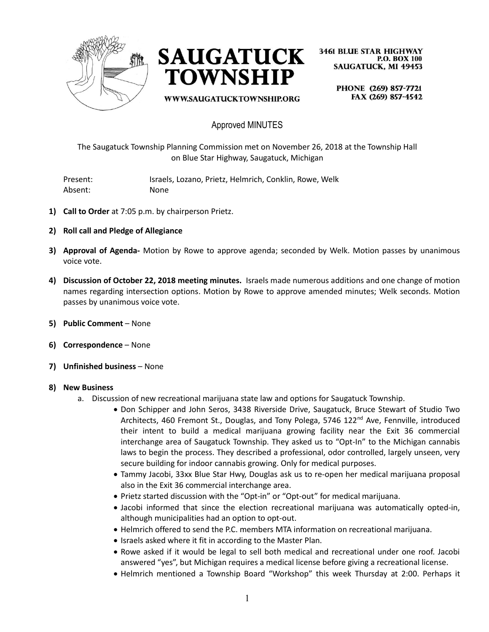



WWW.SAUGATUCKTOWNSHIP.ORG

**3461 BLUE STAR HIGHWAY P.O. BOX 100 SAUGATUCK, MI 49453** 

PHONE (269) 857-7721 FAX (269) 857-4542

# Approved MINUTES

The Saugatuck Township Planning Commission met on November 26, 2018 at the Township Hall on Blue Star Highway, Saugatuck, Michigan

Present: Israels, Lozano, Prietz, Helmrich, Conklin, Rowe, Welk Absent: None

- **1) Call to Order** at 7:05 p.m. by chairperson Prietz.
- **2) Roll call and Pledge of Allegiance**
- **3) Approval of Agenda-** Motion by Rowe to approve agenda; seconded by Welk. Motion passes by unanimous voice vote.
- **4) Discussion of October 22, 2018 meeting minutes.** Israels made numerous additions and one change of motion names regarding intersection options. Motion by Rowe to approve amended minutes; Welk seconds. Motion passes by unanimous voice vote.
- **5) Public Comment** None
- **6) Correspondence** None
- **7) Unfinished business** None

#### **8) New Business**

- a. Discussion of new recreational marijuana state law and options for Saugatuck Township.
	- Don Schipper and John Seros, 3438 Riverside Drive, Saugatuck, Bruce Stewart of Studio Two Architects, 460 Fremont St., Douglas, and Tony Polega, 5746 122<sup>nd</sup> Ave, Fennville, introduced their intent to build a medical marijuana growing facility near the Exit 36 commercial interchange area of Saugatuck Township. They asked us to "Opt-In" to the Michigan cannabis laws to begin the process. They described a professional, odor controlled, largely unseen, very secure building for indoor cannabis growing. Only for medical purposes.
	- Tammy Jacobi, 33xx Blue Star Hwy, Douglas ask us to re-open her medical marijuana proposal also in the Exit 36 commercial interchange area.
	- Prietz started discussion with the "Opt-in" or "Opt-out" for medical marijuana.
	- Jacobi informed that since the election recreational marijuana was automatically opted-in, although municipalities had an option to opt-out.
	- Helmrich offered to send the P.C. members MTA information on recreational marijuana.
	- Israels asked where it fit in according to the Master Plan.
	- Rowe asked if it would be legal to sell both medical and recreational under one roof. Jacobi answered "yes", but Michigan requires a medical license before giving a recreational license.
	- Helmrich mentioned a Township Board "Workshop" this week Thursday at 2:00. Perhaps it